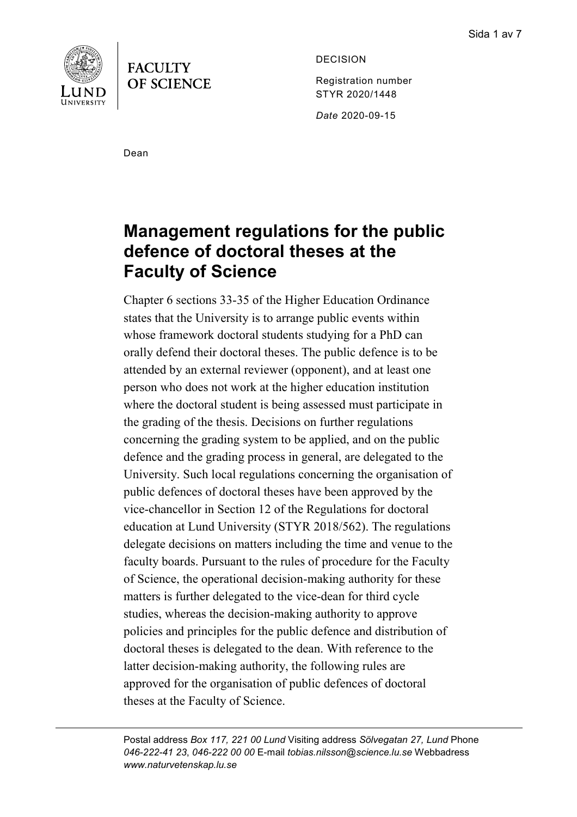



DECISION

Registration number STYR 2020/1448

*Date* 2020-09-15

Dean

# **Management regulations for the public defence of doctoral theses at the Faculty of Science**

Chapter 6 sections 33-35 of the Higher Education Ordinance states that the University is to arrange public events within whose framework doctoral students studying for a PhD can orally defend their doctoral theses. The public defence is to be attended by an external reviewer (opponent), and at least one person who does not work at the higher education institution where the doctoral student is being assessed must participate in the grading of the thesis. Decisions on further regulations concerning the grading system to be applied, and on the public defence and the grading process in general, are delegated to the University. Such local regulations concerning the organisation of public defences of doctoral theses have been approved by the vice-chancellor in Section 12 of the Regulations for doctoral education at Lund University (STYR 2018/562). The regulations delegate decisions on matters including the time and venue to the faculty boards. Pursuant to the rules of procedure for the Faculty of Science, the operational decision-making authority for these matters is further delegated to the vice-dean for third cycle studies, whereas the decision-making authority to approve policies and principles for the public defence and distribution of doctoral theses is delegated to the dean. With reference to the latter decision-making authority, the following rules are approved for the organisation of public defences of doctoral theses at the Faculty of Science.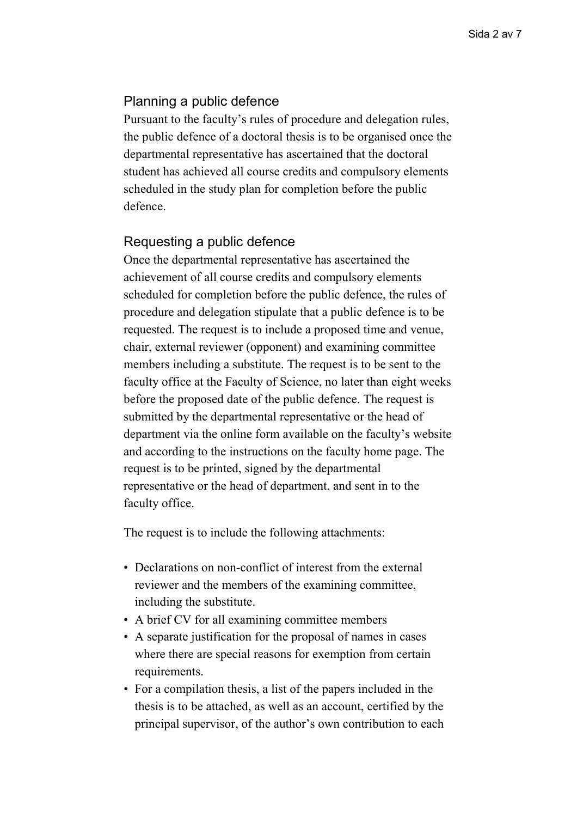# Planning a public defence

Pursuant to the faculty's rules of procedure and delegation rules, the public defence of a doctoral thesis is to be organised once the departmental representative has ascertained that the doctoral student has achieved all course credits and compulsory elements scheduled in the study plan for completion before the public defence.

# Requesting a public defence

Once the departmental representative has ascertained the achievement of all course credits and compulsory elements scheduled for completion before the public defence, the rules of procedure and delegation stipulate that a public defence is to be requested. The request is to include a proposed time and venue, chair, external reviewer (opponent) and examining committee members including a substitute. The request is to be sent to the faculty office at the Faculty of Science, no later than eight weeks before the proposed date of the public defence. The request is submitted by the departmental representative or the head of department via the online form available on the faculty's website and according to the instructions on the faculty home page. The request is to be printed, signed by the departmental representative or the head of department, and sent in to the faculty office.

The request is to include the following attachments:

- Declarations on non-conflict of interest from the external reviewer and the members of the examining committee, including the substitute.
- A brief CV for all examining committee members
- A separate justification for the proposal of names in cases where there are special reasons for exemption from certain requirements.
- For a compilation thesis, a list of the papers included in the thesis is to be attached, as well as an account, certified by the principal supervisor, of the author's own contribution to each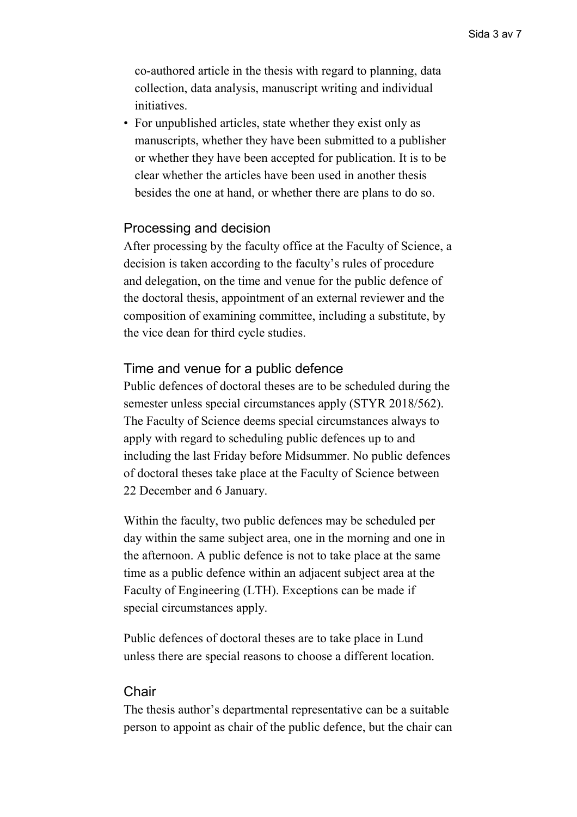co-authored article in the thesis with regard to planning, data collection, data analysis, manuscript writing and individual initiatives.

• For unpublished articles, state whether they exist only as manuscripts, whether they have been submitted to a publisher or whether they have been accepted for publication. It is to be clear whether the articles have been used in another thesis besides the one at hand, or whether there are plans to do so.

## Processing and decision

After processing by the faculty office at the Faculty of Science, a decision is taken according to the faculty's rules of procedure and delegation, on the time and venue for the public defence of the doctoral thesis, appointment of an external reviewer and the composition of examining committee, including a substitute, by the vice dean for third cycle studies.

## Time and venue for a public defence

Public defences of doctoral theses are to be scheduled during the semester unless special circumstances apply (STYR 2018/562). The Faculty of Science deems special circumstances always to apply with regard to scheduling public defences up to and including the last Friday before Midsummer. No public defences of doctoral theses take place at the Faculty of Science between 22 December and 6 January.

Within the faculty, two public defences may be scheduled per day within the same subject area, one in the morning and one in the afternoon. A public defence is not to take place at the same time as a public defence within an adjacent subject area at the Faculty of Engineering (LTH). Exceptions can be made if special circumstances apply.

Public defences of doctoral theses are to take place in Lund unless there are special reasons to choose a different location.

#### **Chair**

The thesis author's departmental representative can be a suitable person to appoint as chair of the public defence, but the chair can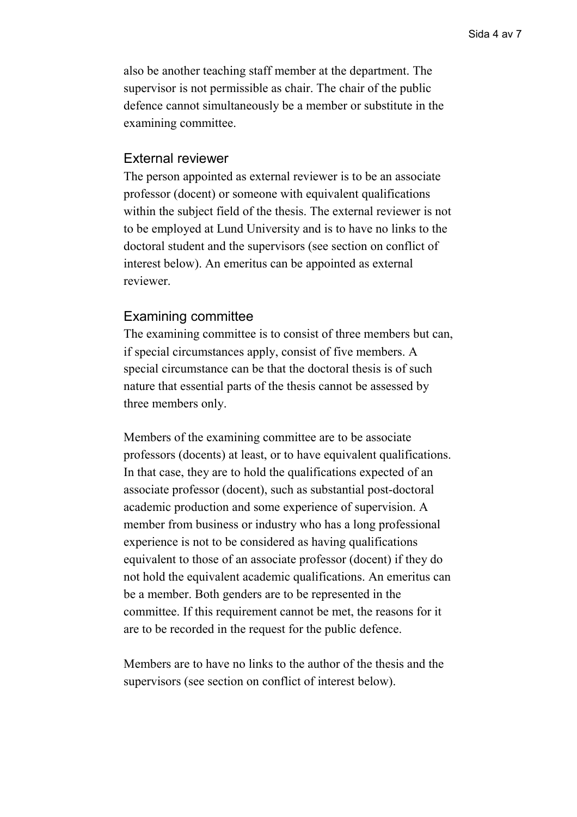also be another teaching staff member at the department. The supervisor is not permissible as chair. The chair of the public defence cannot simultaneously be a member or substitute in the examining committee.

#### External reviewer

The person appointed as external reviewer is to be an associate professor (docent) or someone with equivalent qualifications within the subject field of the thesis. The external reviewer is not to be employed at Lund University and is to have no links to the doctoral student and the supervisors (see section on conflict of interest below). An emeritus can be appointed as external reviewer.

## Examining committee

The examining committee is to consist of three members but can, if special circumstances apply, consist of five members. A special circumstance can be that the doctoral thesis is of such nature that essential parts of the thesis cannot be assessed by three members only.

Members of the examining committee are to be associate professors (docents) at least, or to have equivalent qualifications. In that case, they are to hold the qualifications expected of an associate professor (docent), such as substantial post-doctoral academic production and some experience of supervision. A member from business or industry who has a long professional experience is not to be considered as having qualifications equivalent to those of an associate professor (docent) if they do not hold the equivalent academic qualifications. An emeritus can be a member. Both genders are to be represented in the committee. If this requirement cannot be met, the reasons for it are to be recorded in the request for the public defence.

Members are to have no links to the author of the thesis and the supervisors (see section on conflict of interest below).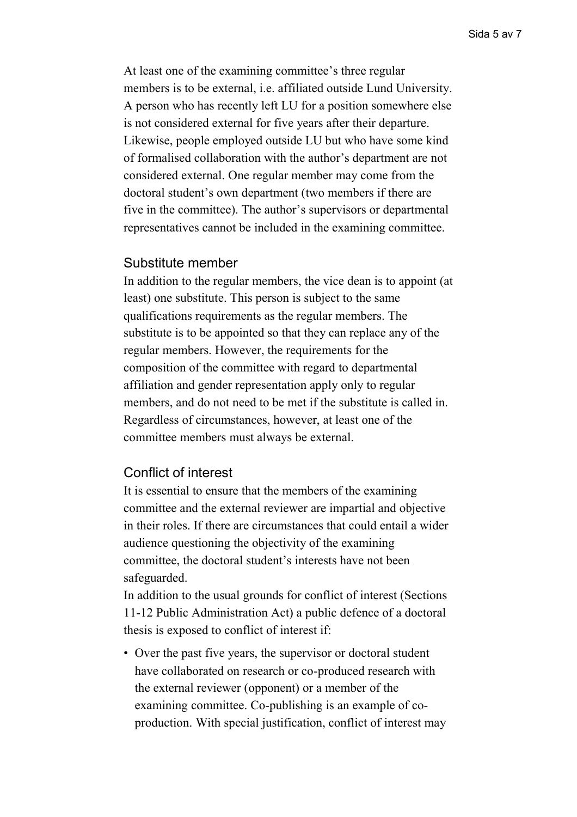At least one of the examining committee's three regular members is to be external, i.e. affiliated outside Lund University. A person who has recently left LU for a position somewhere else is not considered external for five years after their departure. Likewise, people employed outside LU but who have some kind of formalised collaboration with the author's department are not considered external. One regular member may come from the doctoral student's own department (two members if there are five in the committee). The author's supervisors or departmental representatives cannot be included in the examining committee.

#### Substitute member

In addition to the regular members, the vice dean is to appoint (at least) one substitute. This person is subject to the same qualifications requirements as the regular members. The substitute is to be appointed so that they can replace any of the regular members. However, the requirements for the composition of the committee with regard to departmental affiliation and gender representation apply only to regular members, and do not need to be met if the substitute is called in. Regardless of circumstances, however, at least one of the committee members must always be external.

# Conflict of interest

It is essential to ensure that the members of the examining committee and the external reviewer are impartial and objective in their roles. If there are circumstances that could entail a wider audience questioning the objectivity of the examining committee, the doctoral student's interests have not been safeguarded.

In addition to the usual grounds for conflict of interest (Sections 11-12 Public Administration Act) a public defence of a doctoral thesis is exposed to conflict of interest if:

• Over the past five years, the supervisor or doctoral student have collaborated on research or co-produced research with the external reviewer (opponent) or a member of the examining committee. Co-publishing is an example of coproduction. With special justification, conflict of interest may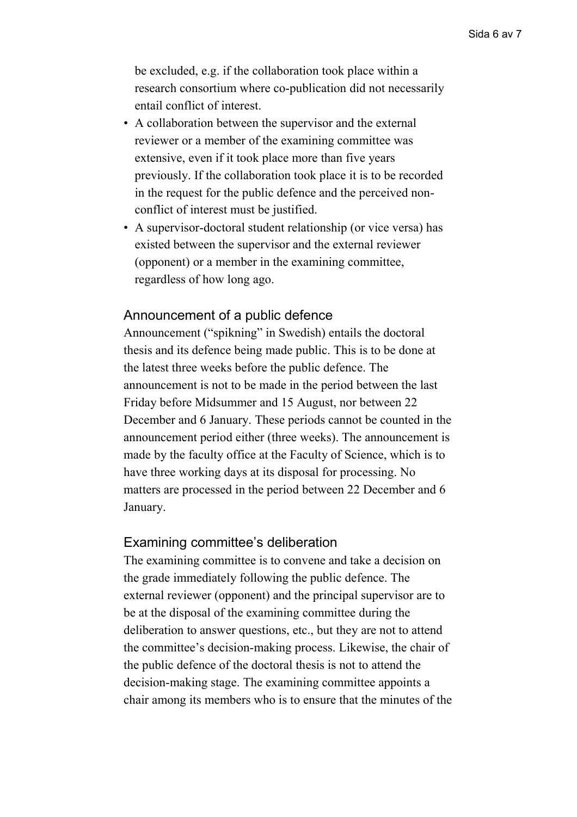be excluded, e.g. if the collaboration took place within a research consortium where co-publication did not necessarily entail conflict of interest.

- A collaboration between the supervisor and the external reviewer or a member of the examining committee was extensive, even if it took place more than five years previously. If the collaboration took place it is to be recorded in the request for the public defence and the perceived nonconflict of interest must be justified.
- A supervisor-doctoral student relationship (or vice versa) has existed between the supervisor and the external reviewer (opponent) or a member in the examining committee, regardless of how long ago.

## Announcement of a public defence

Announcement ("spikning" in Swedish) entails the doctoral thesis and its defence being made public. This is to be done at the latest three weeks before the public defence. The announcement is not to be made in the period between the last Friday before Midsummer and 15 August, nor between 22 December and 6 January. These periods cannot be counted in the announcement period either (three weeks). The announcement is made by the faculty office at the Faculty of Science, which is to have three working days at its disposal for processing. No matters are processed in the period between 22 December and 6 January.

#### Examining committee's deliberation

The examining committee is to convene and take a decision on the grade immediately following the public defence. The external reviewer (opponent) and the principal supervisor are to be at the disposal of the examining committee during the deliberation to answer questions, etc., but they are not to attend the committee's decision-making process. Likewise, the chair of the public defence of the doctoral thesis is not to attend the decision-making stage. The examining committee appoints a chair among its members who is to ensure that the minutes of the